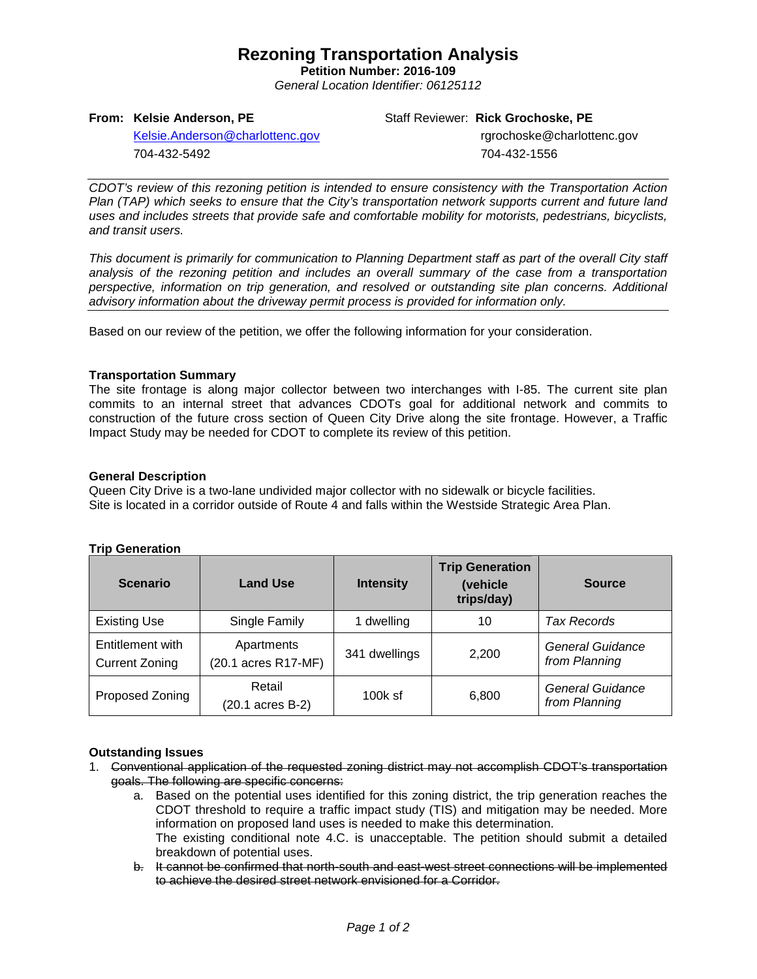# **Rezoning Transportation Analysis**

**Petition Number: 2016-109** *General Location Identifier: 06125112*

## **From: Kelsie Anderson, PE**

Staff Reviewer: **Rick Grochoske, PE**

[Kelsie.Anderson@charlottenc.gov](mailto:Kelsie.Anderson@charlottenc.gov) 704-432-5492

 rgrochoske@charlottenc.gov 704-432-1556

*CDOT's review of this rezoning petition is intended to ensure consistency with the Transportation Action Plan (TAP) which seeks to ensure that the City's transportation network supports current and future land uses and includes streets that provide safe and comfortable mobility for motorists, pedestrians, bicyclists, and transit users.*

*This document is primarily for communication to Planning Department staff as part of the overall City staff analysis of the rezoning petition and includes an overall summary of the case from a transportation perspective, information on trip generation, and resolved or outstanding site plan concerns. Additional advisory information about the driveway permit process is provided for information only.*

Based on our review of the petition, we offer the following information for your consideration.

#### **Transportation Summary**

The site frontage is along major collector between two interchanges with I-85. The current site plan commits to an internal street that advances CDOTs goal for additional network and commits to construction of the future cross section of Queen City Drive along the site frontage. However, a Traffic Impact Study may be needed for CDOT to complete its review of this petition.

#### **General Description**

Queen City Drive is a two-lane undivided major collector with no sidewalk or bicycle facilities. Site is located in a corridor outside of Route 4 and falls within the Westside Strategic Area Plan.

| <b>Trip Generation</b> |
|------------------------|
|------------------------|

| <b>Scenario</b>                           | <b>Land Use</b>                   | <b>Intensity</b> | <b>Trip Generation</b><br>(vehicle<br>trips/day) | <b>Source</b>                     |
|-------------------------------------------|-----------------------------------|------------------|--------------------------------------------------|-----------------------------------|
| <b>Existing Use</b>                       | Single Family                     | dwelling         | 10                                               | Tax Records                       |
| Entitlement with<br><b>Current Zoning</b> | Apartments<br>(20.1 acres R17-MF) | 341 dwellings    | 2,200                                            | General Guidance<br>from Planning |
| Proposed Zoning                           | Retail<br>(20.1 acres B-2)        | $100k$ sf        | 6,800                                            | General Guidance<br>from Planning |

## **Outstanding Issues**

- 1. Conventional application of the requested zoning district may not accomplish CDOT's transportation goals. The following are specific concerns:
	- a. Based on the potential uses identified for this zoning district, the trip generation reaches the CDOT threshold to require a traffic impact study (TIS) and mitigation may be needed. More information on proposed land uses is needed to make this determination. The existing conditional note 4.C. is unacceptable. The petition should submit a detailed breakdown of potential uses.
	- b. It cannot be confirmed that north-south and east-west street connections will be implemented to achieve the desired street network envisioned for a Corridor.